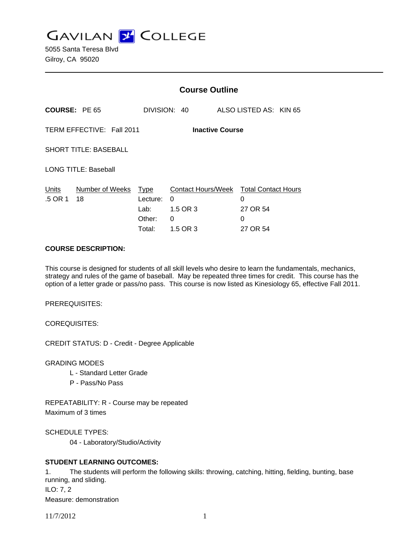**GAVILAN J COLLEGE** 

5055 Santa Teresa Blvd Gilroy, CA 95020

|                                                     |                       | <b>Course Outline</b>                               |                                                             |                                                              |  |
|-----------------------------------------------------|-----------------------|-----------------------------------------------------|-------------------------------------------------------------|--------------------------------------------------------------|--|
| <b>COURSE: PE 65</b>                                |                       |                                                     | DIVISION: 40                                                | ALSO LISTED AS: KIN 65                                       |  |
| TERM EFFECTIVE: Fall 2011<br><b>Inactive Course</b> |                       |                                                     |                                                             |                                                              |  |
| <b>SHORT TITLE: BASEBALL</b>                        |                       |                                                     |                                                             |                                                              |  |
| <b>LONG TITLE: Baseball</b>                         |                       |                                                     |                                                             |                                                              |  |
| Units<br>.5 OR 1                                    | Number of Weeks<br>18 | <b>Type</b><br>Lecture:<br>Lab:<br>Other:<br>Total: | <b>Contact Hours/Week</b><br>0<br>1.5 OR 3<br>0<br>1.5 OR 3 | <b>Total Contact Hours</b><br>0<br>27 OR 54<br>0<br>27 OR 54 |  |

#### **COURSE DESCRIPTION:**

This course is designed for students of all skill levels who desire to learn the fundamentals, mechanics, strategy and rules of the game of baseball. May be repeated three times for credit. This course has the option of a letter grade or pass/no pass. This course is now listed as Kinesiology 65, effective Fall 2011.

PREREQUISITES:

COREQUISITES:

CREDIT STATUS: D - Credit - Degree Applicable

GRADING MODES

- L Standard Letter Grade
- P Pass/No Pass

REPEATABILITY: R - Course may be repeated Maximum of 3 times

SCHEDULE TYPES:

04 - Laboratory/Studio/Activity

# **STUDENT LEARNING OUTCOMES:**

1. The students will perform the following skills: throwing, catching, hitting, fielding, bunting, base running, and sliding. ILO: 7, 2 Measure: demonstration

11/7/2012 1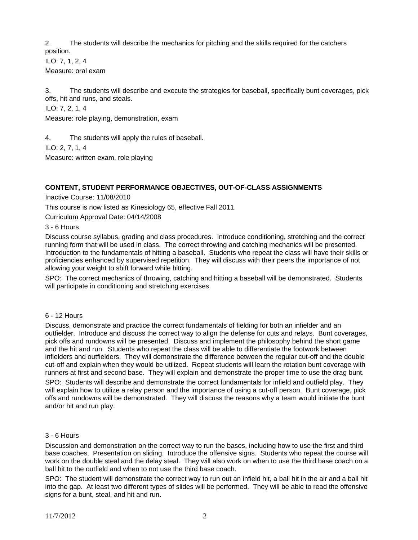2. The students will describe the mechanics for pitching and the skills required for the catchers position.

ILO: 7, 1, 2, 4

Measure: oral exam

3. The students will describe and execute the strategies for baseball, specifically bunt coverages, pick offs, hit and runs, and steals.

ILO: 7, 2, 1, 4

Measure: role playing, demonstration, exam

4. The students will apply the rules of baseball.

ILO: 2, 7, 1, 4

Measure: written exam, role playing

# **CONTENT, STUDENT PERFORMANCE OBJECTIVES, OUT-OF-CLASS ASSIGNMENTS**

Inactive Course: 11/08/2010

This course is now listed as Kinesiology 65, effective Fall 2011.

Curriculum Approval Date: 04/14/2008

3 - 6 Hours

Discuss course syllabus, grading and class procedures. Introduce conditioning, stretching and the correct running form that will be used in class. The correct throwing and catching mechanics will be presented. Introduction to the fundamentals of hitting a baseball. Students who repeat the class will have their skills or proficiencies enhanced by supervised repetition. They will discuss with their peers the importance of not allowing your weight to shift forward while hitting.

SPO: The correct mechanics of throwing, catching and hitting a baseball will be demonstrated. Students will participate in conditioning and stretching exercises.

# 6 - 12 Hours

Discuss, demonstrate and practice the correct fundamentals of fielding for both an infielder and an outfielder. Introduce and discuss the correct way to align the defense for cuts and relays. Bunt coverages, pick offs and rundowns will be presented. Discuss and implement the philosophy behind the short game and the hit and run. Students who repeat the class will be able to differentiate the footwork between infielders and outfielders. They will demonstrate the difference between the regular cut-off and the double cut-off and explain when they would be utilized. Repeat students will learn the rotation bunt coverage with runners at first and second base. They will explain and demonstrate the proper time to use the drag bunt.

SPO: Students will describe and demonstrate the correct fundamentals for infield and outfield play. They will explain how to utilize a relay person and the importance of using a cut-off person. Bunt coverage, pick offs and rundowns will be demonstrated. They will discuss the reasons why a team would initiate the bunt and/or hit and run play.

#### 3 - 6 Hours

Discussion and demonstration on the correct way to run the bases, including how to use the first and third base coaches. Presentation on sliding. Introduce the offensive signs. Students who repeat the course will work on the double steal and the delay steal. They will also work on when to use the third base coach on a ball hit to the outfield and when to not use the third base coach.

SPO: The student will demonstrate the correct way to run out an infield hit, a ball hit in the air and a ball hit into the gap. At least two different types of slides will be performed. They will be able to read the offensive signs for a bunt, steal, and hit and run.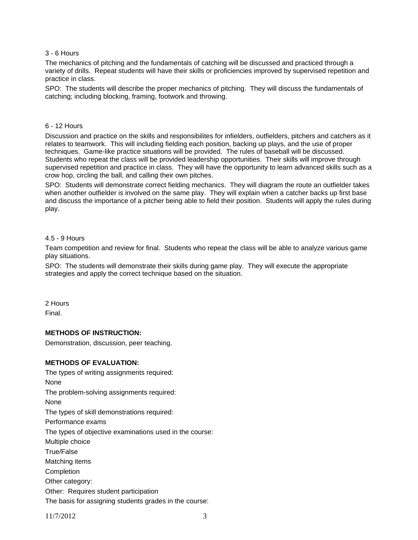### 3 - 6 Hours

The mechanics of pitching and the fundamentals of catching will be discussed and practiced through a variety of drills. Repeat students will have their skills or proficiencies improved by supervised repetition and practice in class.

SPO: The students will describe the proper mechanics of pitching. They will discuss the fundamentals of catching; including blocking, framing, footwork and throwing.

#### 6 - 12 Hours

Discussion and practice on the skills and responsibilites for infielders, outfielders, pitchers and catchers as it relates to teamwork. This will including fielding each position, backing up plays, and the use of proper techniques. Game-like practice situations will be provided. The rules of baseball will be discussed. Students who repeat the class will be provided leadership opportunities. Their skills will improve through supervised repetition and practice in class. They will have the opportunity to learn advanced skills such as a crow hop, circling the ball, and calling their own pitches.

SPO: Students will demonstrate correct fielding mechanics. They will diagram the route an outfielder takes when another outfielder is involved on the same play. They will explain when a catcher backs up first base and discuss the importance of a pitcher being able to field their position. Students will apply the rules during play.

#### 4.5 - 9 Hours

Team competition and review for final. Students who repeat the class will be able to analyze various game play situations.

SPO: The students will demonstrate their skills during game play. They will execute the appropriate strategies and apply the correct technique based on the situation.

2 Hours Final.

#### **METHODS OF INSTRUCTION:**

Demonstration, discussion, peer teaching.

#### **METHODS OF EVALUATION:**

The types of writing assignments required: None The problem-solving assignments required: None The types of skill demonstrations required: Performance exams The types of objective examinations used in the course: Multiple choice True/False Matching items **Completion** Other category: Other: Requires student participation The basis for assigning students grades in the course:

11/7/2012 3